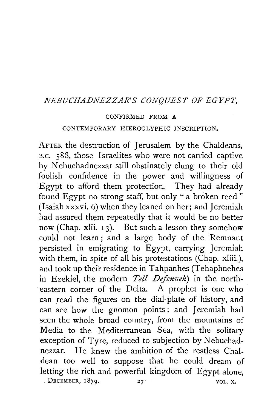## *NEBUCHADNEZZAR'S CONQUEST OF EGYPT,*

## CONFIRMED FROM A

## CONTEMPORARY HIEROGLYPHIC INSCRIPTION.

AFTER the destruction of Jerusalem by the Chaldeans, B.c. 588, those Israelites who were not carried captive by Nebuchadnezzar still obstinately clung to their old foolish confidence in the power and willingness of Egypt to afford them protection. They had already found Egypt no strong staff, but only "a broken reed" (Isaiah xxxvi. 6) when they leaned on her; and Jeremiah had assured them repeatedly that it would be no better now (Chap. xlii.  $13$ ). But such a lesson they somehow could not learn ; and a large body of the Remnant persisted in emigrating to Egypt, carrying Jeremiah with them, in spite of all his protestations (Chap. xliii.), and took up their residence in Tahpanhes (Tehaphnehes in Ezekiel, the modern *Tell Defenneh)* in the northeastern corner of the Delta. A prophet is one who can read the figures on the dial-plate of history, and can see how the gnomon points ; and Jeremiah had seen the whole broad country, from the mountains of Media to the Mediterranean Sea, with the solitary exception of Tyre, reduced to subjection by Nebuchadnezzar. He knew the ambition of the restless Chaldean too well to suppose that he could dream of letting the rich and powerful kingdom of Egypt alone, DECEMBER,  $1879.$  27 VOL. X.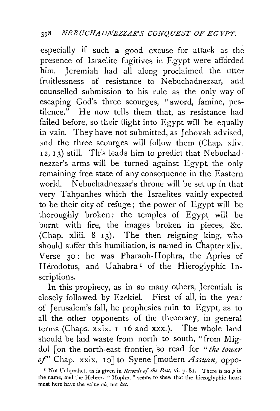especially if such a good excuse for attack as the presence of Israelite fugitives in Egypt were afforded him. Jeremiah had all along proclaimed the utter fruitlessness of resistance to Nebuchadnezzar, and counselled submission to his rule as the only way of escaping God's three scourges, " sword, famine, pestilence." He now tells them that, as resistance had failed before, so their flight into Egypt will be equally in vain. They have not submitted, as Jehovah advised, and the three scourges will follow them (Chap. xliv.  $(12, 13)$  still. This leads him to predict that Nebuchadnezzar's arms will be turned against Egypt, the only remaining free state of any consequence in the Eastern world. Nebuchadnezzar's throne will be set up in that very Tahpanhes which the Israelites vainly expected to be their city of refuge ; the power of Egypt will be thoroughly broken; the temples of Egypt will be burnt with fire, the images broken in pieces, &c. (Chap. xliii.  $8-13$ ). The then reigning king, who should suffer this humiliation, is named in chapter xliv. Verse 30: he was Pharaoh-Hophra, the Apries of Herodotus, and Uahabra<sup>1</sup> of the Hieroglyphic Inscriptions.

In this prophecy, as in so many others, Jeremiah is closely followed by Ezekiel. First of all, in the year of Jerusalem's fall, he prophesies ruin to Egypt, as to all the other opponents of the theocracy, in general terms (Chaps. xxix. 1-16 and xxx.). The whole land should be laid waste from north to south, "from Migdol [on the north-east frontier, so read for *"the tower of'* Chap. xxix. 10 J to Syene [modern *Assuan,* oppo-

<sup>&</sup>lt;sup>1</sup> Not Uahprahet, as is given in *Records of the Past*, vi. p. 81. There is no p in the name, and the Hebrew "Hophra" seems to shew that the hieroglyphic heart must here have the value  $ab$ , not het...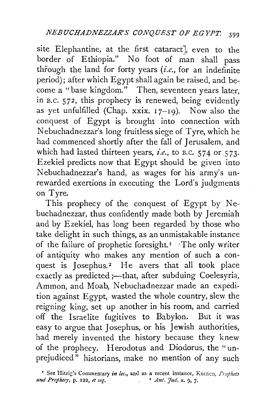site Elephantine, at the first cataract], even to the border of Ethiopia." No foot of man shall pass through the land for forty years  $(i.e.,$  for an indefinite period); after which Egypt shall again be raised, and become a "base kingdom." Then, seventeen years later, in B.C. 572, this prophecy is renewed, being evidently as yet unfulfilled (Chap. xxix.  $17-19$ ). Now also the conquest of Egypt is brought into connection with Nebuchadnezzar's long fruitless siege of Tyre, which he had commenced shortly after the fall of Jerusalem, and which had lasted thirteen years, *i.e.,* to B.c. 574 or 573· Ezekiel predicts now that Egypt should be given into Nebuchadnezzar's hand, as wages for his army's unrewarded exertions in executing the Lord's judgments on Tyre.

This prophecy of the conquest of Egypt by Nebuchadnezzar, thus confidently made both by Jeremiah and by Ezekiel, has long been regarded by those who take delight in such things, as an unmistakable instance of the failure of prophetic foresight.<sup> $I$ </sup> The only writer of antiquity who makes any mention of such a conquest is Josephus.<sup>2</sup> He avers that all took place exactly as predicted ;- that, after subduing Coelesyria, Ammon, and Moab, Nebuchadnezzar made an expedition against Egypt, wasted the whole country, slew the reigning king, set up another in his room, and carried off the Israelite fugitives to Babylon. But it was easy to argue that Josephus, or his Jewish authorities, had merely invented the history because they knew of the prophecy. Herodotus and Diodorus, the "unprejudiced" historians, make no mention of any such

<sup>&</sup>lt;sup>1</sup> See Hitzig's Commentary *in loc.*, and as a recent instance, Kucnen, *Prophets atld Prophecy,* p. 122, *et seq.* 2 *Ant. Jud.* x. 9, 7·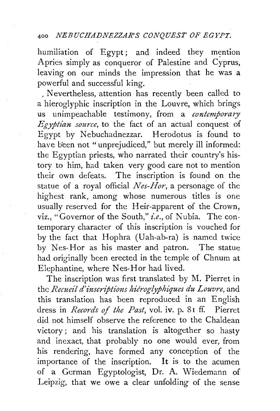humiliation of Egypt; and indeed they mention Apries simply as conqueror of Palestine and Cyprus, leaving on our minds the impression that he was a powerful and successful king.

. Nevertheless, attention has recently been called to a hieroglyphic inscription in the Louvre, which brings us unimpeachable testimony, from a *contemporary*   $E$ *gyptian source*, to the fact of an actual conquest of Egypt by Nebuchadnezzar. Herodotus is found to have been not "unprejudiced," but merely ill informed: the Egyptian priests, who narrated their country's history to him, had taken very good care not to mention their own defeats. The inscription is found on the statue of a royal official *Nes-Hor,* a personage of the highest rank, among whose numerous titles is one usually reserved for the Heir-apparent of the Crown, viz., "Governor of the South," *i.e.*, of Nubia. The contemporary character of this inscription is vouched for by the fact that Hophra (Uah-ab-ra) is named twice by Nes-Hor as his master and patron. The statue had originally been erected in the temple of Chnum at Elephantine, where Nes-Hor had lived.

The inscription was first translated by M. Pierret in the *Recueil d'inscriptions hieroglyphiques du Louvre*, and this translation has been reproduced in an English dress in *Records of the Past,* vol. iv. p. 81 ff. Pierret did not himself observe the reference to the Chaldean victory ; and his translation is altogether so hasty and inexact, that probably no one would ever, from his rendering, have formed any conception of the importance of the inscription. It is to the acumen of a German Egyptologist, Dr. A. Wiedemann of Leipzig, that we owe a clear unfolding of the sense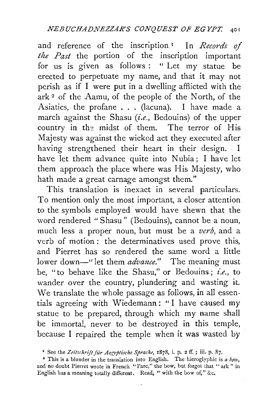and reference of the inscription.<sup>1</sup> In *Records of the Past* the portion of the inscription important for us is given as follows : " Let my statue be erected to perpetuate my name, and that it may not perish as if I were put in a dwelling afflicted with the  $ark<sup>2</sup>$  of the Aamu, of the people of the North, of the Asiatics, the profane ... (lacuna). I have made a march against the Shasu *(i.e.,* Bedouins) of the upper country in the midst of them. The terror of His Majesty was against the wicked act they executed after having strengthened their heart in their design. I have let them advance quite into Nubia; I have let them approach the place where was His Majesty, who hath made a great carnage amongst them."

This translation is inexact in several particulars. To mention only the most important, a closer attention to the symbols employed would have shewn that the word rendered "Shasu" (Bedouins), cannot be a noun, much less a proper noun, but must be a *verb,* and a verb of motion: the determinatives used prove this, and Pierret has so rendered the same word a little lower down-" let them *advance*." The meaning must be, "to behave like the Shasu," or Bedouins; *i.e.*, to wander over the country, plundering and wasting it. We translate the whole passage as follows, in all essentials agreeing with Wiedemann : " I have caused my statue to be prepared, through which my name shall be immortal, never to be destroyed in this temple, because I repaired the temple when it was wasted by

<sup>&</sup>lt;sup>1</sup> See the Zeitschrift für Aegyptische Sprache, 1878, i. p. 2 ff.; iii. p. 87.

<sup>•</sup> This is a blunder in the translation into English. The hieroglyphic is *a bow,*  and no doubt Pierret wrote in French " l'arc," the bow, but forgot that " ark " in English has a meaning totally different. Read, " with the bow of," &c.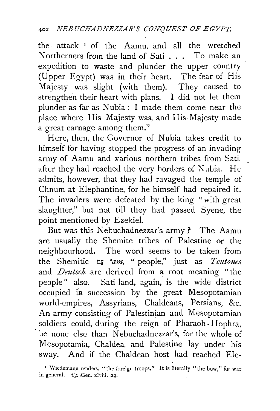the attack 1 of the Aamu, and all the wretched Northerners from the land of Sati . . . To make an expedition to waste and plunder the upper country (Upper Egypt) was in their heart. The fear of His Majesty was slight (with them). They caused to strengthen their heart with plans. I did not let them plunder as far as Nubia : I made them come near the place where His Majesty was, and His Majesty made a great carnage among them."

Here, then, the Governor of Nubia takes credit to himseif for having stopped the progress of an invading army of Aamu and various northern tribes from Sati, after they had reached the very borders of Nubia. He admits, however, that they had ravaged the temple of Chnum at Elephantine, for he himself had repaired it. The invaders were defeated by the king " with great slaughter," but not till they had passed Syene, the point mentioned by Ezekiel.

But was this Nebuchadnezzar's army ? The Aamu are usually the Shemitc tribes of Palestine or the neighbourhood. The word seems to be taken from the Shemitic t:lt' *eam,* " people," just as *Teutones*  and *Deutsch* .are derived from a root meaning "the people" also. Sati-land, again, is the wide district occupied in succession by the great Mesopotamian world-empires, Assyrians, Chaldeans, Persians, &c. An army consisting of Palestinian and Mesopotamian soldiers could, during the reign of Pharaoh- Hophra, be none else than Nebuchadnezzar's, for the whole of Mesopotamia, Chaldea, and Palestine lay under his sway. And if the Chaldean host had reached Ele-

<sup>&</sup>lt;sup>1</sup> Wiedemann renders, "the foreign troops." It is literally " the bow," for war in general. *Cf.* Gen. xlviii. 22.